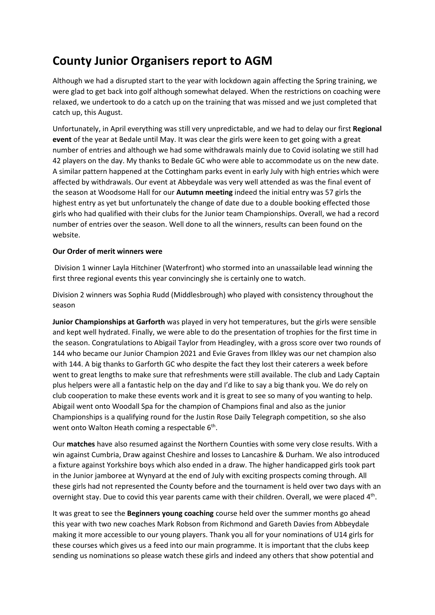## **County Junior Organisers report to AGM**

Although we had a disrupted start to the year with lockdown again affecting the Spring training, we were glad to get back into golf although somewhat delayed. When the restrictions on coaching were relaxed, we undertook to do a catch up on the training that was missed and we just completed that catch up, this August.

Unfortunately, in April everything was still very unpredictable, and we had to delay our first **Regional event** of the year at Bedale until May. It was clear the girls were keen to get going with a great number of entries and although we had some withdrawals mainly due to Covid isolating we still had 42 players on the day. My thanks to Bedale GC who were able to accommodate us on the new date. A similar pattern happened at the Cottingham parks event in early July with high entries which were affected by withdrawals. Our event at Abbeydale was very well attended as was the final event of the season at Woodsome Hall for our **Autumn meeting** indeed the initial entry was 57 girls the highest entry as yet but unfortunately the change of date due to a double booking effected those girls who had qualified with their clubs for the Junior team Championships. Overall, we had a record number of entries over the season. Well done to all the winners, results can been found on the website.

## **Our Order of merit winners were**

Division 1 winner Layla Hitchiner (Waterfront) who stormed into an unassailable lead winning the first three regional events this year convincingly she is certainly one to watch.

Division 2 winners was Sophia Rudd (Middlesbrough) who played with consistency throughout the season

**Junior Championships at Garforth** was played in very hot temperatures, but the girls were sensible and kept well hydrated. Finally, we were able to do the presentation of trophies for the first time in the season. Congratulations to Abigail Taylor from Headingley, with a gross score over two rounds of 144 who became our Junior Champion 2021 and Evie Graves from Ilkley was our net champion also with 144. A big thanks to Garforth GC who despite the fact they lost their caterers a week before went to great lengths to make sure that refreshments were still available. The club and Lady Captain plus helpers were all a fantastic help on the day and I'd like to say a big thank you. We do rely on club cooperation to make these events work and it is great to see so many of you wanting to help. Abigail went onto Woodall Spa for the champion of Champions final and also as the junior Championships is a qualifying round for the Justin Rose Daily Telegraph competition, so she also went onto Walton Heath coming a respectable 6<sup>th</sup>.

Our **matches** have also resumed against the Northern Counties with some very close results. With a win against Cumbria, Draw against Cheshire and losses to Lancashire & Durham. We also introduced a fixture against Yorkshire boys which also ended in a draw. The higher handicapped girls took part in the Junior jamboree at Wynyard at the end of July with exciting prospects coming through. All these girls had not represented the County before and the tournament is held over two days with an overnight stay. Due to covid this year parents came with their children. Overall, we were placed 4<sup>th</sup>.

It was great to see the **Beginners young coaching** course held over the summer months go ahead this year with two new coaches Mark Robson from Richmond and Gareth Davies from Abbeydale making it more accessible to our young players. Thank you all for your nominations of U14 girls for these courses which gives us a feed into our main programme. It is important that the clubs keep sending us nominations so please watch these girls and indeed any others that show potential and